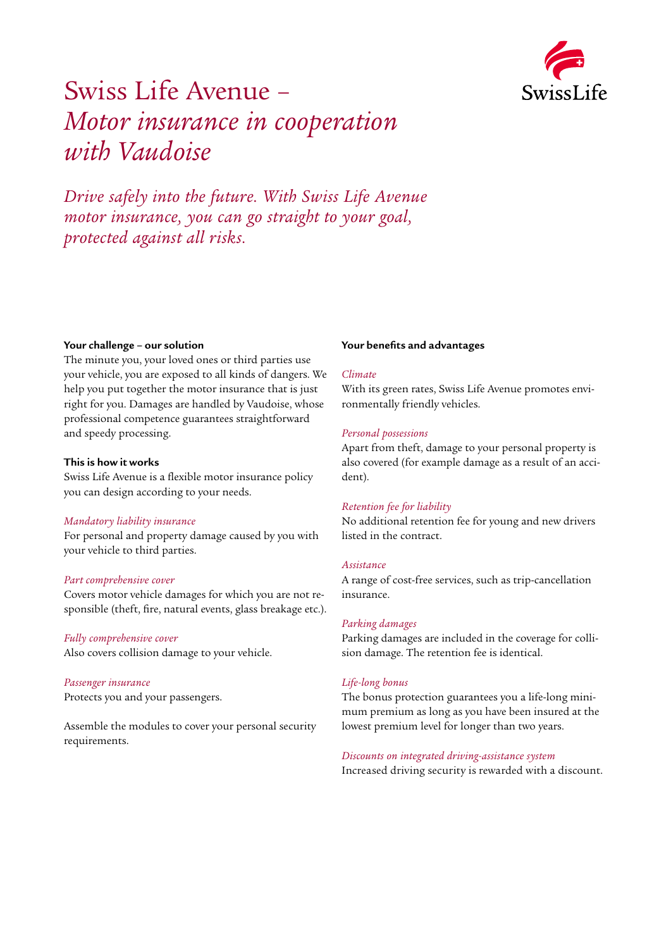

## Swiss Life Avenue – *Motor insurance in cooperation with Vaudoise*

*Drive safely into the future. With Swiss Life Avenue motor insurance, you can go straight to your goal, protected against all risks.*

#### **Your challenge – our solution**

The minute you, your loved ones or third parties use your vehicle, you are exposed to all kinds of dangers. We help you put together the motor insurance that is just right for you. Damages are handled by Vaudoise, whose professional competence guarantees straightforward and speedy processing.

#### **This is how it works**

Swiss Life Avenue is a flexible motor insurance policy you can design according to your needs.

#### *Mandatory liability insurance*

For personal and property damage caused by you with your vehicle to third parties.

#### *Part comprehensive cover*

Covers motor vehicle damages for which you are not responsible (theft, fire, natural events, glass breakage etc.).

#### *Fully comprehensive cover*

Also covers collision damage to your vehicle.

#### *Passenger insurance*

Protects you and your passengers.

Assemble the modules to cover your personal security requirements.

#### **Your benefits and advantages**

#### *Climate*

With its green rates, Swiss Life Avenue promotes environmentally friendly vehicles.

#### *Personal possessions*

Apart from theft, damage to your personal property is also covered (for example damage as a result of an accident).

#### *Retention fee for liability*

No additional retention fee for young and new drivers listed in the contract.

#### *Assistance*

A range of cost-free services, such as trip-cancellation insurance.

#### *Parking damages*

Parking damages are included in the coverage for collision damage. The retention fee is identical.

#### *Life-long bonus*

The bonus protection guarantees you a life-long minimum premium as long as you have been insured at the lowest premium level for longer than two years.

#### *Discounts on integrated driving-assistance system*

Increased driving security is rewarded with a discount.